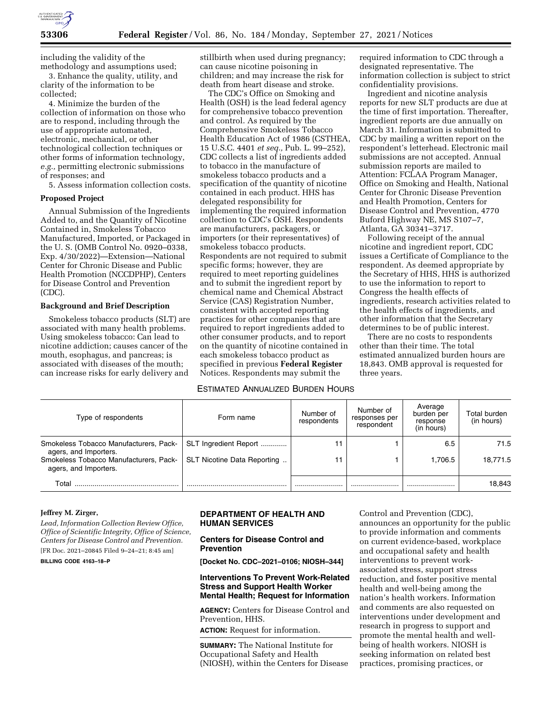

**53306 Federal Register** / Vol. 86, No. 184 / Monday, September 27, 2021 / Notices

including the validity of the methodology and assumptions used;

3. Enhance the quality, utility, and clarity of the information to be collected;

4. Minimize the burden of the collection of information on those who are to respond, including through the use of appropriate automated, electronic, mechanical, or other technological collection techniques or other forms of information technology, *e.g.,* permitting electronic submissions of responses; and

5. Assess information collection costs.

#### **Proposed Project**

Annual Submission of the Ingredients Added to, and the Quantity of Nicotine Contained in, Smokeless Tobacco Manufactured, Imported, or Packaged in the U. S. (OMB Control No. 0920–0338, Exp. 4/30/2022)—Extension—National Center for Chronic Disease and Public Health Promotion (NCCDPHP), Centers for Disease Control and Prevention (CDC).

### **Background and Brief Description**

Smokeless tobacco products (SLT) are associated with many health problems. Using smokeless tobacco: Can lead to nicotine addiction; causes cancer of the mouth, esophagus, and pancreas; is associated with diseases of the mouth; can increase risks for early delivery and

stillbirth when used during pregnancy; can cause nicotine poisoning in children; and may increase the risk for death from heart disease and stroke.

The CDC's Office on Smoking and Health (OSH) is the lead federal agency for comprehensive tobacco prevention and control. As required by the Comprehensive Smokeless Tobacco Health Education Act of 1986 (CSTHEA, 15 U.S.C. 4401 *et seq.,* Pub. L. 99–252), CDC collects a list of ingredients added to tobacco in the manufacture of smokeless tobacco products and a specification of the quantity of nicotine contained in each product. HHS has delegated responsibility for implementing the required information collection to CDC's OSH. Respondents are manufacturers, packagers, or importers (or their representatives) of smokeless tobacco products. Respondents are not required to submit specific forms; however, they are required to meet reporting guidelines and to submit the ingredient report by chemical name and Chemical Abstract Service (CAS) Registration Number, consistent with accepted reporting practices for other companies that are required to report ingredients added to other consumer products, and to report on the quantity of nicotine contained in each smokeless tobacco product as specified in previous **Federal Register**  Notices. Respondents may submit the

# ESTIMATED ANNUALIZED BURDEN HOURS

required information to CDC through a designated representative. The information collection is subject to strict confidentiality provisions.

Ingredient and nicotine analysis reports for new SLT products are due at the time of first importation. Thereafter, ingredient reports are due annually on March 31. Information is submitted to CDC by mailing a written report on the respondent's letterhead. Electronic mail submissions are not accepted. Annual submission reports are mailed to Attention: FCLAA Program Manager, Office on Smoking and Health, National Center for Chronic Disease Prevention and Health Promotion, Centers for Disease Control and Prevention, 4770 Buford Highway NE, MS S107–7, Atlanta, GA 30341–3717.

Following receipt of the annual nicotine and ingredient report, CDC issues a Certificate of Compliance to the respondent. As deemed appropriate by the Secretary of HHS, HHS is authorized to use the information to report to Congress the health effects of ingredients, research activities related to the health effects of ingredients, and other information that the Secretary determines to be of public interest.

There are no costs to respondents other than their time. The total estimated annualized burden hours are 18,843. OMB approval is requested for three years.

| Type of respondents                                             | Form name                   | Number of<br>respondents | Number of<br>responses per<br>respondent | Average<br>burden per<br>response<br>(in hours) | Total burden<br>(in hours) |
|-----------------------------------------------------------------|-----------------------------|--------------------------|------------------------------------------|-------------------------------------------------|----------------------------|
| Smokeless Tobacco Manufacturers, Pack-<br>agers, and Importers. | SLT Ingredient Report       |                          |                                          | 6.5                                             | 71.5                       |
| Smokeless Tobacco Manufacturers, Pack-<br>agers, and Importers. | SLT Nicotine Data Reporting |                          |                                          | 1.706.5                                         | 18.771.5                   |
| Total                                                           |                             |                          |                                          |                                                 | 18,843                     |

#### **Jeffrey M. Zirger,**

*Lead, Information Collection Review Office, Office of Scientific Integrity, Office of Science, Centers for Disease Control and Prevention.*  [FR Doc. 2021–20845 Filed 9–24–21; 8:45 am]

**BILLING CODE 4163–18–P** 

# **DEPARTMENT OF HEALTH AND HUMAN SERVICES**

#### **Centers for Disease Control and Prevention**

**[Docket No. CDC–2021–0106; NIOSH–344]** 

# **Interventions To Prevent Work-Related Stress and Support Health Worker Mental Health; Request for Information**

**AGENCY:** Centers for Disease Control and Prevention, HHS.

**ACTION:** Request for information.

**SUMMARY:** The National Institute for Occupational Safety and Health (NIOSH), within the Centers for Disease

Control and Prevention (CDC), announces an opportunity for the public to provide information and comments on current evidence-based, workplace and occupational safety and health interventions to prevent workassociated stress, support stress reduction, and foster positive mental health and well-being among the nation's health workers. Information and comments are also requested on interventions under development and research in progress to support and promote the mental health and wellbeing of health workers. NIOSH is seeking information on related best practices, promising practices, or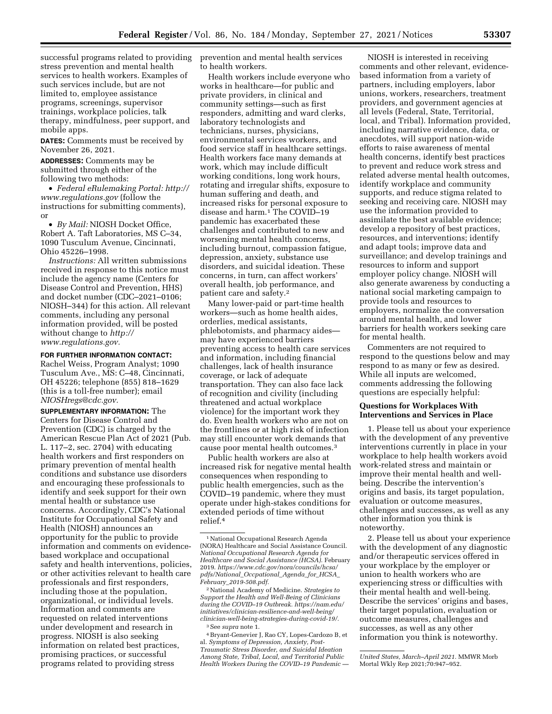successful programs related to providing stress prevention and mental health services to health workers. Examples of such services include, but are not limited to, employee assistance programs, screenings, supervisor trainings, workplace policies, talk therapy, mindfulness, peer support, and mobile apps.

**DATES:** Comments must be received by November 26, 2021.

**ADDRESSES:** Comments may be submitted through either of the following two methods:

• *Federal eRulemaking Portal: [http://](http://www.regulations.gov)  [www.regulations.gov](http://www.regulations.gov)* (follow the instructions for submitting comments), or

• *By Mail:* NIOSH Docket Office, Robert A. Taft Laboratories, MS C–34, 1090 Tusculum Avenue, Cincinnati, Ohio 45226–1998.

*Instructions:* All written submissions received in response to this notice must include the agency name (Centers for Disease Control and Prevention, HHS) and docket number (CDC–2021–0106; NIOSH–344) for this action. All relevant comments, including any personal information provided, will be posted without change to *[http://](http://www.regulations.gov) [www.regulations.gov.](http://www.regulations.gov)* 

**FOR FURTHER INFORMATION CONTACT:**  Rachel Weiss, Program Analyst; 1090 Tusculum Ave., MS: C–48, Cincinnati, OH 45226; telephone (855) 818–1629 (this is a toll-free number); email *[NIOSHregs@cdc.gov.](mailto:NIOSHregs@cdc.gov)* 

**SUPPLEMENTARY INFORMATION:** The Centers for Disease Control and Prevention (CDC) is charged by the American Rescue Plan Act of 2021 (Pub. L. 117–2, sec. 2704) with educating health workers and first responders on primary prevention of mental health conditions and substance use disorders and encouraging these professionals to identify and seek support for their own mental health or substance use concerns. Accordingly, CDC's National Institute for Occupational Safety and Health (NIOSH) announces an opportunity for the public to provide information and comments on evidencebased workplace and occupational safety and health interventions, policies, or other activities relevant to health care professionals and first responders, including those at the population, organizational, or individual levels. Information and comments are requested on related interventions under development and research in progress. NIOSH is also seeking information on related best practices, promising practices, or successful programs related to providing stress

prevention and mental health services to health workers.

Health workers include everyone who works in healthcare—for public and private providers, in clinical and community settings—such as first responders, admitting and ward clerks, laboratory technologists and technicians, nurses, physicians, environmental services workers, and food service staff in healthcare settings. Health workers face many demands at work, which may include difficult working conditions, long work hours, rotating and irregular shifts, exposure to human suffering and death, and increased risks for personal exposure to disease and harm.<sup>1</sup> The COVID-19 pandemic has exacerbated these challenges and contributed to new and worsening mental health concerns, including burnout, compassion fatigue, depression, anxiety, substance use disorders, and suicidal ideation. These concerns, in turn, can affect workers' overall health, job performance, and patient care and safety.2

Many lower-paid or part-time health workers—such as home health aides, orderlies, medical assistants, phlebotomists, and pharmacy aides may have experienced barriers preventing access to health care services and information, including financial challenges, lack of health insurance coverage, or lack of adequate transportation. They can also face lack of recognition and civility (including threatened and actual workplace violence) for the important work they do. Even health workers who are not on the frontlines or at high risk of infection may still encounter work demands that cause poor mental health outcomes.3

Public health workers are also at increased risk for negative mental health consequences when responding to public health emergencies, such as the COVID–19 pandemic, where they must operate under high-stakes conditions for extended periods of time without relief.4

2National Academy of Medicine. *Strategies to Support the Health and Well-Being of Clinicians during the COVID–19 Outbreak. [https://nam.edu/](https://nam.edu/initiatives/clinician-resilience-and-well-being/clinician-well-being-strategies-during-covid-19/)  [initiatives/clinician-resilience-and-well-being/](https://nam.edu/initiatives/clinician-resilience-and-well-being/clinician-well-being-strategies-during-covid-19/)  [clinician-well-being-strategies-during-covid-19/.](https://nam.edu/initiatives/clinician-resilience-and-well-being/clinician-well-being-strategies-during-covid-19/)*  3See *supra* note 1.

4Bryant-Genevier J, Rao CY, Lopes-Cardozo B, et al. *Symptoms of Depression, Anxiety, Post-Traumatic Stress Disorder, and Suicidal Ideation Among State, Tribal, Local, and Territorial Public Health Workers During the COVID–19 Pandemic —* 

NIOSH is interested in receiving comments and other relevant, evidencebased information from a variety of partners, including employers, labor unions, workers, researchers, treatment providers, and government agencies at all levels (Federal, State, Territorial, local, and Tribal). Information provided, including narrative evidence, data, or anecdotes, will support nation-wide efforts to raise awareness of mental health concerns, identify best practices to prevent and reduce work stress and related adverse mental health outcomes, identify workplace and community supports, and reduce stigma related to seeking and receiving care. NIOSH may use the information provided to assimilate the best available evidence; develop a repository of best practices, resources, and interventions; identify and adapt tools; improve data and surveillance; and develop trainings and resources to inform and support employer policy change. NIOSH will also generate awareness by conducting a national social marketing campaign to provide tools and resources to employers, normalize the conversation around mental health, and lower barriers for health workers seeking care for mental health.

Commenters are not required to respond to the questions below and may respond to as many or few as desired. While all inputs are welcomed, comments addressing the following questions are especially helpful:

## **Questions for Workplaces With Interventions and Services in Place**

1. Please tell us about your experience with the development of any preventive interventions currently in place in your workplace to help health workers avoid work-related stress and maintain or improve their mental health and wellbeing. Describe the intervention's origins and basis, its target population, evaluation or outcome measures, challenges and successes, as well as any other information you think is noteworthy.

2. Please tell us about your experience with the development of any diagnostic and/or therapeutic services offered in your workplace by the employer or union to health workers who are experiencing stress or difficulties with their mental health and well-being. Describe the services' origins and bases, their target population, evaluation or outcome measures, challenges and successes, as well as any other information you think is noteworthy.

<sup>&</sup>lt;sup>1</sup> National Occupational Research Agenda (NORA) Healthcare and Social Assistance Council. *National Occupational Research Agenda for Healthcare and Social Assistance (HCSA).* February 2019. *[https://www.cdc.gov/nora/councils/hcsa/](https://www.cdc.gov/nora/councils/hcsa/pdfs/National_Occpational_Agenda_for_HCSA_February_2019-508.pdf)  [pdfs/National](https://www.cdc.gov/nora/councils/hcsa/pdfs/National_Occpational_Agenda_for_HCSA_February_2019-508.pdf)*\_*Occpational*\_*Agenda*\_*for*\_*HCSA*\_ *February*\_*[2019-508.pdf.](https://www.cdc.gov/nora/councils/hcsa/pdfs/National_Occpational_Agenda_for_HCSA_February_2019-508.pdf)* 

*United States, March–April 2021.* MMWR Morb Mortal Wkly Rep 2021;70:947–952.